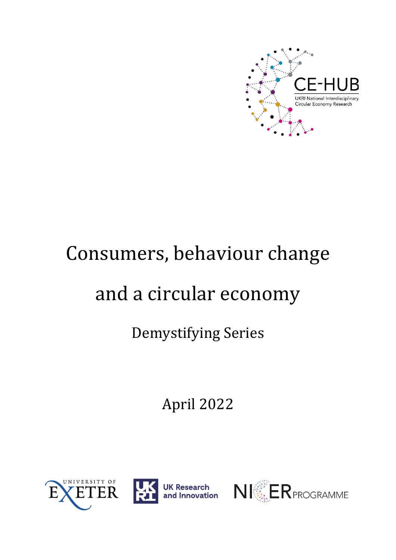

# Consumers, behaviour change

# and a circular economy

## Demystifying Series

April 2022





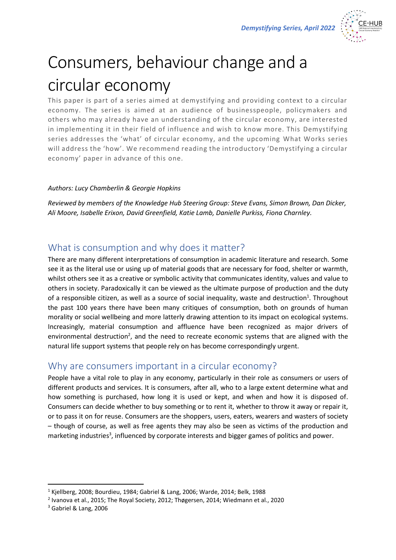

## Consumers, behaviour change and a circular economy

This paper is part of a series aimed at demystifying and providing context to a circular economy. The series is aimed at an audience of businesspeople, policymakers and others who may already have an understanding of the circular economy, are interested in implementing it in their field of influence and wish to know more. This Demystifying series addresses the 'what' of circular economy, and the upcoming What Works series will address the 'how'. We recommend reading the introductory 'Demystifying a circular economy' paper in advance of this one.

#### *Authors: Lucy Chamberlin & Georgie Hopkins*

*Reviewed by members of the Knowledge Hub Steering Group: Steve Evans, Simon Brown, Dan Dicker, Ali Moore, Isabelle Erixon, David Greenfield, Katie Lamb, Danielle Purkiss, Fiona Charnley.*

### What is consumption and why does it matter?

There are many different interpretations of consumption in academic literature and research. Some see it as the literal use or using up of material goods that are necessary for food, shelter or warmth, whilst others see it as a creative or symbolic activity that communicates identity, values and value to others in society. Paradoxically it can be viewed as the ultimate purpose of production and the duty of a responsible citizen, as well as a source of social inequality, waste and destruction<sup>1</sup>. Throughout the past 100 years there have been many critiques of consumption, both on grounds of human morality or social wellbeing and more latterly drawing attention to its impact on ecological systems. Increasingly, material consumption and affluence have been recognized as major drivers of environmental destruction<sup>2</sup>, and the need to recreate economic systems that are aligned with the natural life support systems that people rely on has become correspondingly urgent.

## Why are consumers important in a circular economy?

People have a vital role to play in any economy, particularly in their role as consumers or users of different products and services. It is consumers, after all, who to a large extent determine what and how something is purchased, how long it is used or kept, and when and how it is disposed of. Consumers can decide whether to buy something or to rent it, whether to throw it away or repair it, or to pass it on for reuse. Consumers are the shoppers, users, eaters, wearers and wasters of society – though of course, as well as free agents they may also be seen as victims of the production and marketing industries<sup>3</sup>, influenced by corporate interests and bigger games of politics and power.

<sup>1</sup> Kjellberg, 2008; Bourdieu, 1984; Gabriel & Lang, 2006; Warde, 2014; Belk, 1988

<sup>2</sup> Ivanova et al., 2015; The Royal Society, 2012; Thøgersen, 2014; Wiedmann et al., 2020

<sup>3</sup> Gabriel & Lang, 2006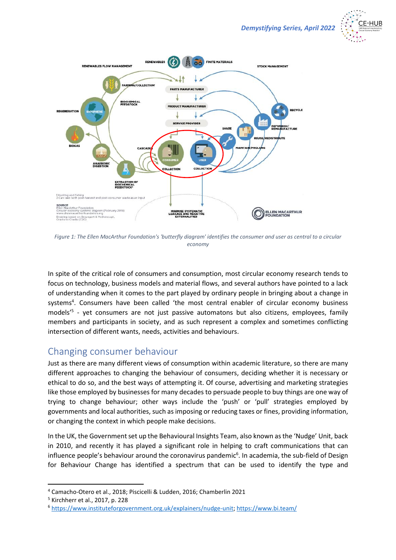



*Figure 1: The Ellen MacArthur Foundation's 'butterfly diagram' identifies the consumer and user as central to a circular economy*

In spite of the critical role of consumers and consumption, most circular economy research tends to focus on technology, business models and material flows, and several authors have pointed to a lack of understanding when it comes to the part played by ordinary people in bringing about a change in systems<sup>4</sup>. Consumers have been called 'the most central enabler of circular economy business models'<sup>5</sup> - yet consumers are not just passive automatons but also citizens, employees, family members and participants in society, and as such represent a complex and sometimes conflicting intersection of different wants, needs, activities and behaviours.

### Changing consumer behaviour

Just as there are many different views of consumption within academic literature, so there are many different approaches to changing the behaviour of consumers, deciding whether it is necessary or ethical to do so, and the best ways of attempting it. Of course, advertising and marketing strategies like those employed by businesses for many decades to persuade people to buy things are one way of trying to change behaviour; other ways include the 'push' or 'pull' strategies employed by governments and local authorities, such as imposing or reducing taxes or fines, providing information, or changing the context in which people make decisions.

In the UK, the Government set up the Behavioural Insights Team, also known as the 'Nudge' Unit, back in 2010, and recently it has played a significant role in helping to craft communications that can influence people's behaviour around the coronavirus pandemic<sup>6</sup>. In academia, the sub-field of Design for Behaviour Change has identified a spectrum that can be used to identify the type and

<sup>4</sup> Camacho-Otero et al., 2018; Piscicelli & Ludden, 2016; Chamberlin 2021

<sup>5</sup> Kirchherr et al., 2017, p. 228

<sup>6</sup> [https://www.instituteforgovernment.org.uk/explainers/nudge-unit;](https://www.instituteforgovernment.org.uk/explainers/nudge-unit)<https://www.bi.team/>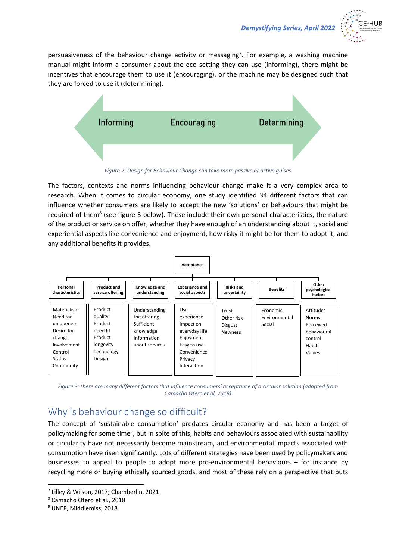

persuasiveness of the behaviour change activity or messaging<sup>7</sup>. For example, a washing machine manual might inform a consumer about the eco setting they can use (informing), there might be incentives that encourage them to use it (encouraging), or the machine may be designed such that they are forced to use it (determining).



*Figure 2: Design for Behaviour Change can take more passive or active guises*

The factors, contexts and norms influencing behaviour change make it a very complex area to research. When it comes to circular economy, one study identified 34 different factors that can influence whether consumers are likely to accept the new 'solutions' or behaviours that might be required of them<sup>8</sup> (see figure 3 below). These include their own personal characteristics, the nature of the product or service on offer, whether they have enough of an understanding about it, social and experiential aspects like convenience and enjoyment, how risky it might be for them to adopt it, and any additional benefits it provides.



*Figure 3: there are many different factors that influence consumers' acceptance of a circular solution (adapted from Camacho Otero et al, 2018)*

## Why is behaviour change so difficult?

The concept of 'sustainable consumption' predates circular economy and has been a target of policymaking for some time<sup>9</sup>, but in spite of this, habits and behaviours associated with sustainability or circularity have not necessarily become mainstream, and environmental impacts associated with consumption have risen significantly. Lots of different strategies have been used by policymakers and businesses to appeal to people to adopt more pro-environmental behaviours – for instance by recycling more or buying ethically sourced goods, and most of these rely on a perspective that puts

<sup>7</sup> Lilley & Wilson, 2017; Chamberlin, 2021

<sup>8</sup> Camacho Otero et al., 2018

<sup>9</sup> UNEP, Middlemiss, 2018.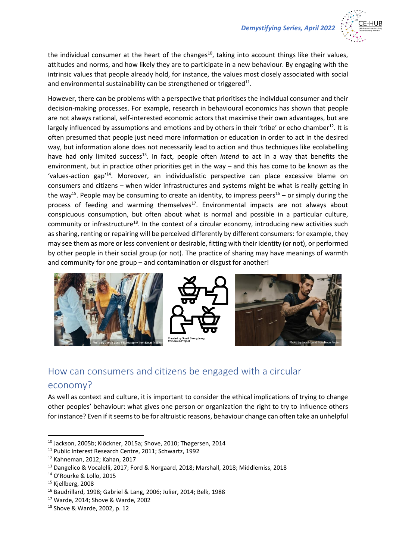

the individual consumer at the heart of the changes<sup>10</sup>, taking into account things like their values, attitudes and norms, and how likely they are to participate in a new behaviour. By engaging with the intrinsic values that people already hold, for instance, the values most closely associated with social and environmental sustainability can be strengthened or triggered $^{11}$ .

However, there can be problems with a perspective that prioritises the individual consumer and their decision-making processes. For example, research in behavioural economics has shown that people are not always rational, self-interested economic actors that maximise their own advantages, but are largely influenced by assumptions and emotions and by others in their 'tribe' or echo chamber<sup>12</sup>. It is often presumed that people just need more information or education in order to act in the desired way, but information alone does not necessarily lead to action and thus techniques like ecolabelling have had only limited success<sup>13</sup>. In fact, people often *intend* to act in a way that benefits the environment, but in practice other priorities get in the way – and this has come to be known as the 'values-action gap<sup>'14</sup>. Moreover, an individualistic perspective can place excessive blame on consumers and citizens – when wider infrastructures and systems might be what is really getting in the way<sup>15</sup>. People may be consuming to create an identity, to impress peers<sup>16</sup> – or simply during the process of feeding and warming themselves<sup>17</sup>. Environmental impacts are not always about conspicuous consumption, but often about what is normal and possible in a particular culture, community or infrastructure<sup>18</sup>. In the context of a circular economy, introducing new activities such as sharing, renting or repairing will be perceived differently by different consumers: for example, they may see them as more or less convenient or desirable, fitting with their identity (or not), or performed by other people in their social group (or not). The practice of sharing may have meanings of warmth and community for one group – and contamination or disgust for another!



## How can consumers and citizens be engaged with a circular

#### economy?

As well as context and culture, it is important to consider the ethical implications of trying to change other peoples' behaviour: what gives one person or organization the right to try to influence others for instance? Even if it seems to be for altruistic reasons, behaviour change can often take an unhelpful

<sup>10</sup> Jackson, 2005b; Klöckner, 2015a; Shove, 2010; Thøgersen, 2014

<sup>11</sup> Public Interest Research Centre, 2011; Schwartz, 1992

<sup>12</sup> Kahneman, 2012; Kahan, 2017

<sup>&</sup>lt;sup>13</sup> Dangelico & Vocalelli, 2017; Ford & Norgaard, 2018; Marshall, 2018; Middlemiss, 2018

<sup>14</sup> O'Rourke & Lollo, 2015

<sup>&</sup>lt;sup>15</sup> Kjellberg, 2008

<sup>16</sup> Baudrillard, 1998; Gabriel & Lang, 2006; Julier, 2014; Belk, 1988

<sup>17</sup> Warde, 2014; Shove & Warde, 2002

<sup>18</sup> Shove & Warde, 2002, p. 12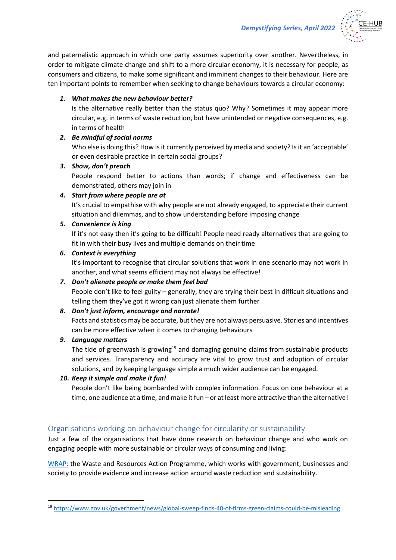

and paternalistic approach in which one party assumes superiority over another. Nevertheless, in order to mitigate climate change and shift to a more circular economy, it is necessary for people, as consumers and citizens, to make some significant and imminent changes to their behaviour. Here are ten important points to remember when seeking to change behaviours towards a circular economy:

#### *1. What makes the new behaviour better?*

Is the alternative really better than the status quo? Why? Sometimes it may appear more circular, e.g. in terms of waste reduction, but have unintended or negative consequences, e.g. in terms of health

#### *2. Be mindful of social norms*

Who else is doing this? How is it currently perceived by media and society? Is it an 'acceptable' or even desirable practice in certain social groups?

#### *3. Show, don't preach*

People respond better to actions than words; if change and effectiveness can be demonstrated, others may join in

#### *4. Start from where people are at*

It's crucial to empathise with why people are not already engaged, to appreciate their current situation and dilemmas, and to show understanding before imposing change

#### *5. Convenience is king*

If it's not easy then it's going to be difficult! People need ready alternatives that are going to fit in with their busy lives and multiple demands on their time

#### *6. Context is everything*

It's important to recognise that circular solutions that work in one scenario may not work in another, and what seems efficient may not always be effective!

## *7. Don't alienate people or make them feel bad*

People don't like to feel guilty – generally, they are trying their best in difficult situations and telling them they've got it wrong can just alienate them further

#### *8. Don't just inform, encourage and narrate!*

Facts and statistics may be accurate, but they are not always persuasive. Stories and incentives can be more effective when it comes to changing behaviours

#### *9. Language matters*

The tide of greenwash is growing<sup>19</sup> and damaging genuine claims from sustainable products and services. Transparency and accuracy are vital to grow trust and adoption of circular solutions, and by keeping language simple a much wider audience can be engaged.

#### *10. Keep it simple and make it fun!*

People don't like being bombarded with complex information. Focus on one behaviour at a time, one audience at a time, and make it fun – or at least more attractive than the alternative!

#### Organisations working on behaviour change for circularity or sustainability

Just a few of the organisations that have done research on behaviour change and who work on engaging people with more sustainable or circular ways of consuming and living:

[WRAP:](https://wrap.org.uk/taking-action/citizen-behaviour-change) the Waste and Resources Action Programme, which works with government, businesses and society to provide evidence and increase action around waste reduction and sustainability.

<sup>19</sup> <https://www.gov.uk/government/news/global-sweep-finds-40-of-firms-green-claims-could-be-misleading>